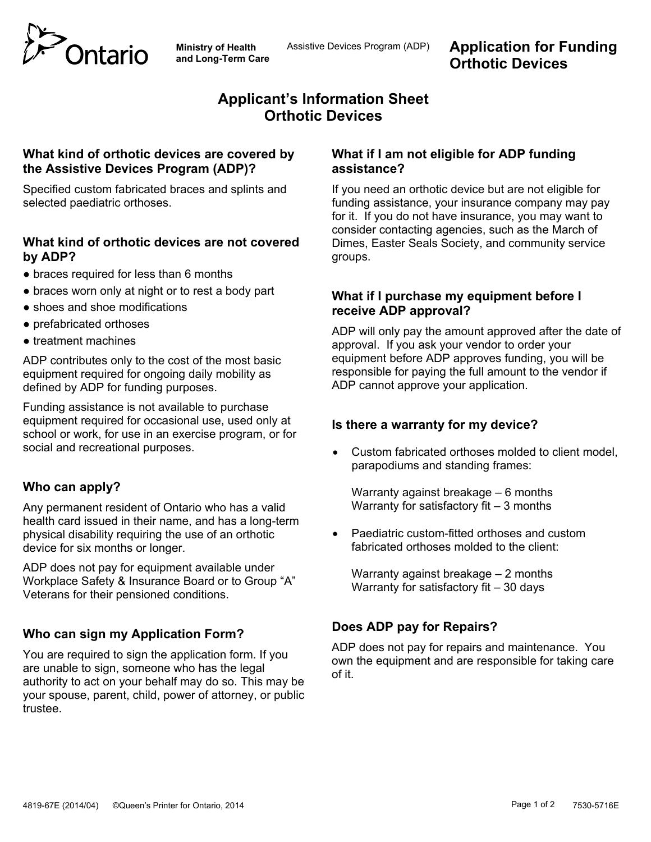

**Ministry of Health** Assistive Devices Program (ADP) **Application for Funding**<br>and Long-Term Care<br>**Cuthotic Devices And Devices** 

# **Applicant's Information Sheet Orthotic Devices**

## **What kind of orthotic devices are covered by the Assistive Devices Program (ADP)?**

Specified custom fabricated braces and splints and selected paediatric orthoses.

## **What kind of orthotic devices are not covered by ADP?**

- braces required for less than 6 months
- braces worn only at night or to rest a body part
- shoes and shoe modifications
- prefabricated orthoses
- treatment machines

ADP contributes only to the cost of the most basic equipment required for ongoing daily mobility as defined by ADP for funding purposes.

Funding assistance is not available to purchase equipment required for occasional use, used only at school or work, for use in an exercise program, or for social and recreational purposes.

## **Who can apply?**

device for six months or longer. Any permanent resident of Ontario who has a valid health card issued in their name, and has a long-term physical disability requiring the use of an orthotic

ADP does not pay for equipment available under. Workplace Safety & Insurance Board or to Group "A" Veterans for their pensioned conditions.

# **Who can sign my Application Form?**

You are required to sign the application form. If you are unable to sign, someone who has the legal authority to act on your behalf may do so. This may be your spouse, parent, child, power of attorney, or public trustee.

#### **What if I am not eligible for ADP funding assistance?**

If you need an orthotic device but are not eligible for funding assistance, your insurance company may pay for it. If you do not have insurance, you may want to consider contacting agencies, such as the March of Dimes, Easter Seals Society, and community service groups.

#### **What if I purchase my equipment before I receive ADP approval?**

ADP will only pay the amount approved after the date of approval. If you ask your vendor to order your equipment before ADP approves funding, you will be responsible for paying the full amount to the vendor if ADP cannot approve your application.

### **Is there a warranty for my device?**

 Custom fabricated orthoses molded to client model, parapodiums and standing frames:

Warranty against breakage – 6 months Warranty for satisfactory fit  $-3$  months

• Paediatric custom-fitted orthoses and custom fabricated orthoses molded to the client:

Warranty against breakage – 2 months Warranty for satisfactory fit – 30 days

## **Does ADP pay for Repairs?**

ADP does not pay for repairs and maintenance. You own the equipment and are responsible for taking care of it.